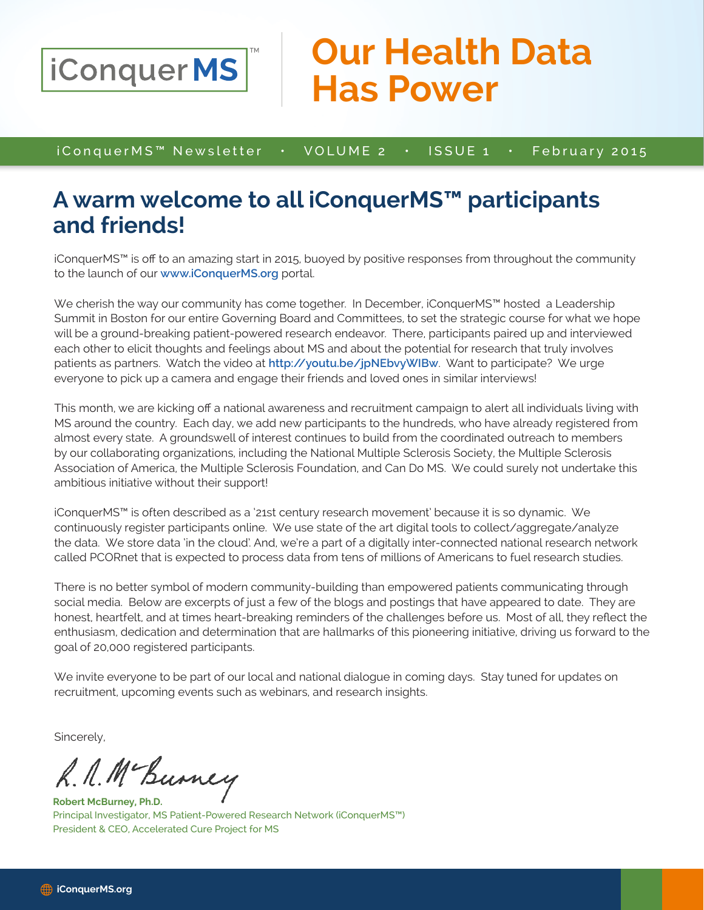

## **Our Health Data Has Power**

iConquerMS™ Newsletter • VOLUME 2 • ISSUE 1 • February 2015

## **A warm welcome to all iConquerMS™ participants and friends!**

iConquerMS™ is off to an amazing start in 2015, buoyed by positive responses from throughout the community to the launch of our **www.iConquerMS.org** portal.

We cherish the way our community has come together. In December, iConquerMS™ hosted a Leadership Summit in Boston for our entire Governing Board and Committees, to set the strategic course for what we hope will be a ground-breaking patient-powered research endeavor. There, participants paired up and interviewed each other to elicit thoughts and feelings about MS and about the potential for research that truly involves patients as partners. Watch the video at **http://youtu.be/jpNEbvyWIBw**. Want to participate? We urge everyone to pick up a camera and engage their friends and loved ones in similar interviews!

This month, we are kicking off a national awareness and recruitment campaign to alert all individuals living with MS around the country. Each day, we add new participants to the hundreds, who have already registered from almost every state. A groundswell of interest continues to build from the coordinated outreach to members by our collaborating organizations, including the National Multiple Sclerosis Society, the Multiple Sclerosis Association of America, the Multiple Sclerosis Foundation, and Can Do MS. We could surely not undertake this ambitious initiative without their support!

iConquerMS™ is often described as a '21st century research movement' because it is so dynamic. We continuously register participants online. We use state of the art digital tools to collect/aggregate/analyze the data. We store data 'in the cloud'. And, we're a part of a digitally inter-connected national research network called PCORnet that is expected to process data from tens of millions of Americans to fuel research studies.

There is no better symbol of modern community-building than empowered patients communicating through social media. Below are excerpts of just a few of the blogs and postings that have appeared to date. They are honest, heartfelt, and at times heart-breaking reminders of the challenges before us. Most of all, they reflect the enthusiasm, dedication and determination that are hallmarks of this pioneering initiative, driving us forward to the goal of 20,000 registered participants.

We invite everyone to be part of our local and national dialogue in coming days. Stay tuned for updates on recruitment, upcoming events such as webinars, and research insights.

Sincerely,

R. N. Mc Burney

**Robert McBurney, Ph.D.** Principal Investigator, MS Patient-Powered Research Network (iConquerMS™) President & CEO, Accelerated Cure Project for MS